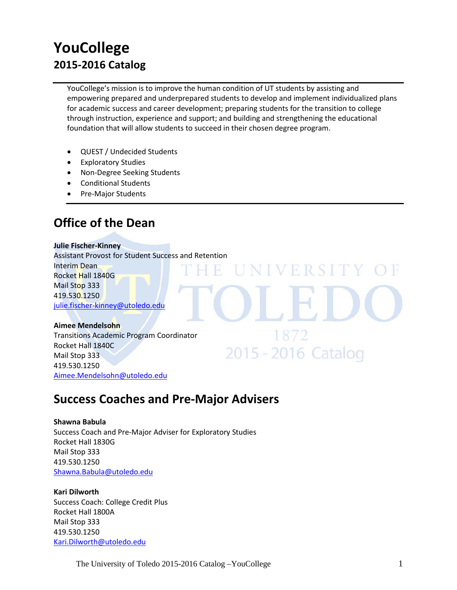# **YouCollege 2015-2016 Catalog**

YouCollege's mission is to improve the human condition of UT students by assisting and empowering prepared and underprepared students to develop and implement individualized plans for academic success and career development; preparing students for the transition to college through instruction, experience and support; and building and strengthening the educational foundation that will allow students to succeed in their chosen degree program.

UNIVERSITY

1872

2015 - 2016 Catalog

- QUEST / Undecided Students
- Exploratory Studies
- Non-Degree Seeking Students
- Conditional Students
- Pre-Major Students

# **Office of the Dean**

# **Julie Fischer-Kinney**

Assistant Provost for Student Success and Retention Interim Dean Rocket Hall 1840G Mail Stop 333 419.530.1250 [julie.fischer-kinney@utoledo.edu](mailto:julie.fischer-kinney@utoledo.edu)

## **Aimee Mendelsohn**

Transitions Academic Program Coordinator Rocket Hall 1840C Mail Stop 333 419.530.1250 [Aimee.Mendelsohn@utoledo.edu](mailto:Aimee.Mendelsohn@utoledo.edu)

# **Success Coaches and Pre-Major Advisers**

## **Shawna Babula**

Success Coach and Pre-Major Adviser for Exploratory Studies Rocket Hall 1830G Mail Stop 333 419.530.1250 [Shawna.Babula@utoledo.edu](mailto:Shawna.Babula@utoledo.edu)

## **Kari Dilworth**

Success Coach: College Credit Plus Rocket Hall 1800A Mail Stop 333 419.530.1250 [Kari.Dilworth@utoledo.edu](mailto:Kari.Dilworth@utoledo.edu)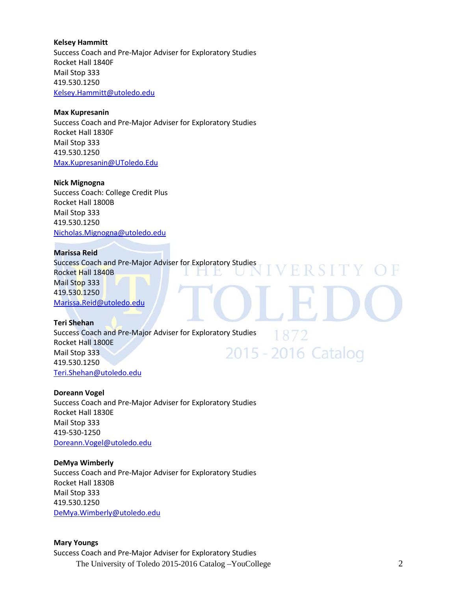#### **Kelsey Hammitt**

Success Coach and Pre-Major Adviser for Exploratory Studies Rocket Hall 1840F Mail Stop 333 419.530.1250 [Kelsey.Hammitt@utoledo.edu](mailto:Kelsey.Hammitt@utoledo.edu) 

#### **Max Kupresanin**

Success Coach and Pre-Major Adviser for Exploratory Studies Rocket Hall 1830F Mail Stop 333 419.530.1250 [Max.Kupresanin@UToledo.Edu](mailto:Max.Kupresanin@UToledo.Edu)

#### **Nick Mignogna**

Success Coach: College Credit Plus Rocket Hall 1800B Mail Stop 333 419.530.1250 [Nicholas.Mignogna@utoledo.edu](mailto:Nicholas.Mignogna@utoledo.edu)

#### **Marissa Reid**

**IViarissa หะเน**<br>Success Coach and Pre-Major Adviser for Exploratory Studies **IVERSITY OF** Rocket Hall 1840B  $\Box$  D Mail Stop 333 419.530.1250 [Marissa.Reid@utoledo.edu](mailto:Marissa.Reid@utoledo.edu)

1872

### **Teri Shehan**

Success Coach and Pre-Major Adviser for Exploratory Studies Rocket Hall 1800E 2015 - 2016 Catalog Mail Stop 333 419.530.1250 [Teri.Shehan@utoledo.edu](mailto:Teri.Shehan@utoledo.edu)

### **Doreann Vogel**

Success Coach and Pre-Major Adviser for Exploratory Studies Rocket Hall 1830E Mail Stop 333 419-530-1250 [Doreann.Vogel@utoledo.edu](mailto:Doreann.Vogel@utoledo.edu)

### **DeMya Wimberly**

Success Coach and Pre-Major Adviser for Exploratory Studies Rocket Hall 1830B Mail Stop 333 419.530.1250 [DeMya.Wimberly@utoledo.edu](mailto:DeMya.Wimberly@utoledo.edu)

#### **Mary Youngs**

The University of Toledo 2015-2016 Catalog –YouCollege 2 Success Coach and Pre-Major Adviser for Exploratory Studies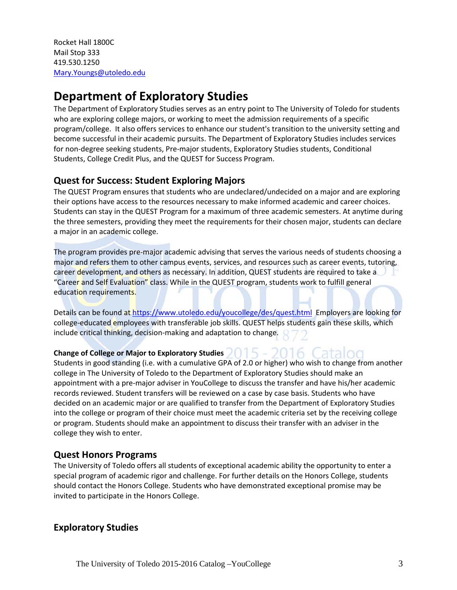Rocket Hall 1800C Mail Stop 333 419.530.1250 [Mary.Youngs@utoledo.edu](mailto:Mary.Youngs@utoledo.edu)

# **Department of Exploratory Studies**

The Department of Exploratory Studies serves as an entry point to The University of Toledo for students who are exploring college majors, or working to meet the admission requirements of a specific program/college. It also offers services to enhance our student's transition to the university setting and become successful in their academic pursuits. The Department of Exploratory Studies includes services for non-degree seeking students, Pre-major students, Exploratory Studies students, Conditional Students, College Credit Plus, and the QUEST for Success Program.

# **Quest for Success: Student Exploring Majors**

The QUEST Program ensures that students who are undeclared/undecided on a major and are exploring their options have access to the resources necessary to make informed academic and career choices. Students can stay in the QUEST Program for a maximum of three academic semesters. At anytime during the three semesters, providing they meet the requirements for their chosen major, students can declare a major in an academic college.

The program provides pre-major academic advising that serves the various needs of students choosing a major and refers them to other campus events, services, and resources such as career events, tutoring, career development, and others as necessary. In addition, QUEST students are required to take a "Career and Self Evaluation" class. While in the QUEST program, students work to fulfill general education requirements.

Details can be found at <https://www.utoledo.edu/youcollege/des/quest.html> Employers are looking for college-educated employees with transferable job skills. QUEST helps students gain these skills, which include critical thinking, decision-making and adaptation to change.

2016 (

## **Change of College or Major to Exploratory Studies**

Students in good standing (i.e. with a cumulative GPA of 2.0 or higher) who wish to change from another college in The University of Toledo to the Department of Exploratory Studies should make an appointment with a pre-major adviser in YouCollege to discuss the transfer and have his/her academic records reviewed. Student transfers will be reviewed on a case by case basis. Students who have decided on an academic major or are qualified to transfer from the Department of Exploratory Studies into the college or program of their choice must meet the academic criteria set by the receiving college or program. Students should make an appointment to discuss their transfer with an adviser in the college they wish to enter.

## **Quest Honors Programs**

The University of Toledo offers all students of exceptional academic ability the opportunity to enter a special program of academic rigor and challenge. For further details on the Honors College, students should contact the Honors College. Students who have demonstrated exceptional promise may be invited to participate in the Honors College.

## **Exploratory Studies**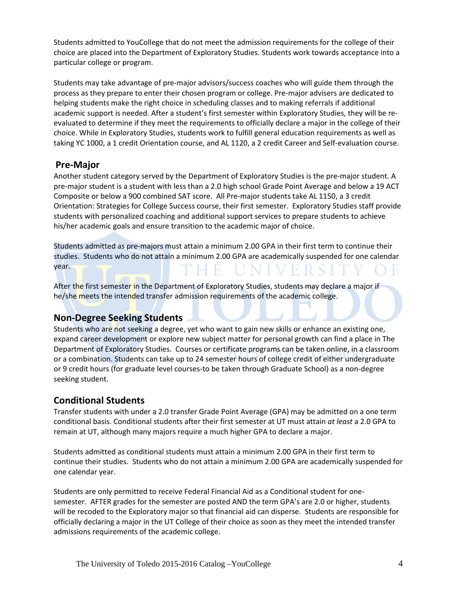Students admitted to YouCollege that do not meet the admission requirements for the college of their choice are placed into the Department of Exploratory Studies. Students work towards acceptance into a particular college or program.

Students may take advantage of pre-major advisors/success coaches who will guide them through the process as they prepare to enter their chosen program or college. Pre-major advisers are dedicated to helping students make the right choice in scheduling classes and to making referrals if additional academic support is needed. After a student's first semester within Exploratory Studies, they will be reevaluated to determine if they meet the requirements to officially declare a major in the college of their choice. While in Exploratory Studies, students work to fulfill general education requirements as well as taking YC 1000, a 1 credit Orientation course, and AL 1120, a 2 credit Career and Self-evaluation course.

## **Pre-Major**

Another student category served by the Department of Exploratory Studies is the pre-major student. A pre-major student is a student with less than a 2.0 high school Grade Point Average and below a 19 ACT Composite or below a 900 combined SAT score. All Pre-major students take AL 1150, a 3 credit Orientation: Strategies for College Success course, their first semester. Exploratory Studies staff provide students with personalized coaching and additional support services to prepare students to achieve his/her academic goals and ensure transition to the academic major of choice.

Students admitted as pre-majors must attain a minimum 2.00 GPA in their first term to continue their studies. Students who do not attain a minimum 2.00 GPA are academically suspended for one calendar year.

After the first semester in the Department of Exploratory Studies, students may declare a major if he/she meets the intended transfer admission requirements of the academic college.

## **Non-Degree Seeking Students**

Students who are not seeking a degree, yet who want to gain new skills or enhance an existing one, expand career development or explore new subject matter for personal growth can find a place in The Department of Exploratory Studies. Courses or certificate programs can be taken online, in a classroom or a combination. Students can take up to 24 semester hours of college credit of either undergraduate or 9 credit hours (for graduate level courses-to be taken through Graduate School) as a non-degree seeking student.

# **Conditional Students**

Transfer students with under a 2.0 transfer Grade Point Average (GPA) may be admitted on a one term conditional basis. Conditional students after their first semester at UT must attain *at least* a 2.0 GPA to remain at UT, although many majors require a much higher GPA to declare a major.

Students admitted as conditional students must attain a minimum 2.00 GPA in their first term to continue their studies. Students who do not attain a minimum 2.00 GPA are academically suspended for one calendar year.

Students are only permitted to receive Federal Financial Aid as a Conditional student for onesemester. AFTER grades for the semester are posted AND the term GPA's are 2.0 or higher, students will be recoded to the Exploratory major so that financial aid can disperse. Students are responsible for officially declaring a major in the UT College of their choice as soon as they meet the intended transfer admissions requirements of the academic college.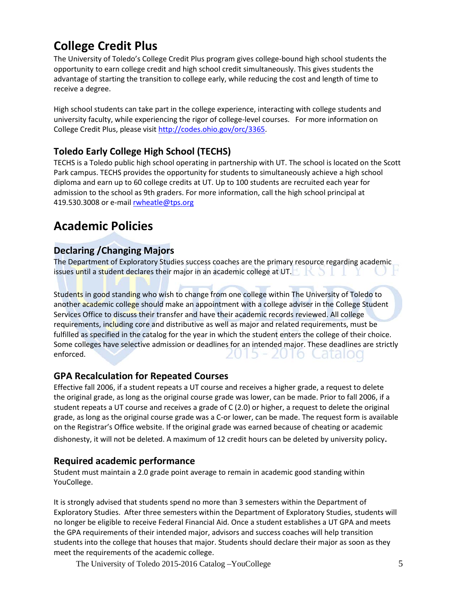# **College Credit Plus**

The University of Toledo's College Credit Plus program gives college-bound high school students the opportunity to earn college credit and high school credit simultaneously. This gives students the advantage of starting the transition to college early, while reducing the cost and length of time to receive a degree.

High school students can take part in the college experience, interacting with college students and university faculty, while experiencing the rigor of college-level courses. For more information on College Credit Plus, please visit [http://codes.ohio.gov/orc/3365.](http://codes.ohio.gov/orc/3365)

# **Toledo Early College High School (TECHS)**

TECHS is a Toledo public high school operating in partnership with UT. The school is located on the Scott Park campus. TECHS provides the opportunity for students to simultaneously achieve a high school diploma and earn up to 60 college credits at UT. Up to 100 students are recruited each year for admission to the school as 9th graders. For more information, call the high school principal at 419.530.3008 or e-mail [rwheatle@tps.org](mailto:robin.wheatley.@tps.org)

# **Academic Policies**

# **Declaring /Changing Majors**

The Department of Exploratory Studies success coaches are the primary resource regarding academic issues until a student declares their major in an academic college at UT.

Students in good standing who wish to change from one college within The University of Toledo to another academic college should make an appointment with a college adviser in the College Student Services Office to discuss their transfer and have their academic records reviewed. All college requirements, including core and distributive as well as major and related requirements, must be fulfilled as specified in the catalog for the year in which the student enters the college of their choice. Some colleges have selective admission or deadlines for an intended major. These deadlines are strictly enforced. 2015 - 2016 Catalod

# **GPA Recalculation for Repeated Courses**

Effective fall 2006, if a student repeats a UT course and receives a higher grade, a request to delete the original grade, as long as the original course grade was lower, can be made. Prior to fall 2006, if a student repeats a UT course and receives a grade of C (2.0) or higher, a request to delete the original grade, as long as the original course grade was a C-or lower, can be made. The request form is available on the Registrar's Office website. If the original grade was earned because of cheating or academic dishonesty, it will not be deleted. A maximum of 12 credit hours can be deleted by university policy.

## **Required academic performance**

Student must maintain a 2.0 grade point average to remain in academic good standing within YouCollege.

It is strongly advised that students spend no more than 3 semesters within the Department of Exploratory Studies. After three semesters within the Department of Exploratory Studies, students will no longer be eligible to receive Federal Financial Aid. Once a student establishes a UT GPA and meets the GPA requirements of their intended major, advisors and success coaches will help transition students into the college that houses that major. Students should declare their major as soon as they meet the requirements of the academic college.

The University of Toledo 2015-2016 Catalog –YouCollege 5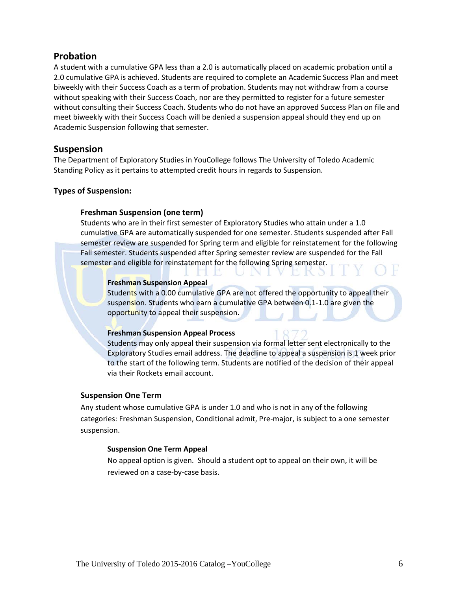## **Probation**

A student with a cumulative GPA less than a 2.0 is automatically placed on academic probation until a 2.0 cumulative GPA is achieved. Students are required to complete an Academic Success Plan and meet biweekly with their Success Coach as a term of probation. Students may not withdraw from a course without speaking with their Success Coach, nor are they permitted to register for a future semester without consulting their Success Coach. Students who do not have an approved Success Plan on file and meet biweekly with their Success Coach will be denied a suspension appeal should they end up on Academic Suspension following that semester.

## **Suspension**

The Department of Exploratory Studies in YouCollege follows The University of Toledo Academic Standing Policy as it pertains to attempted credit hours in regards to Suspension.

### **Types of Suspension:**

### **Freshman Suspension (one term)**

Students who are in their first semester of Exploratory Studies who attain under a 1.0 cumulative GPA are automatically suspended for one semester. Students suspended after Fall semester review are suspended for Spring term and eligible for reinstatement for the following Fall semester. Students suspended after Spring semester review are suspended for the Fall semester and eligible for reinstatement for the following Spring semester.

LILE UN L'

### **Freshman Suspension Appeal**

Students with a 0.00 cumulative GPA are not offered the opportunity to appeal their suspension. Students who earn a cumulative GPA between 0.1-1.0 are given the opportunity to appeal their suspension.

### **Freshman Suspension Appeal Process**

Students may only appeal their suspension via formal letter sent electronically to the Exploratory Studies email address. The deadline to appeal a suspension is 1 week prior to the start of the following term. Students are notified of the decision of their appeal via their Rockets email account.

### **Suspension One Term**

Any student whose cumulative GPA is under 1.0 and who is not in any of the following categories: Freshman Suspension, Conditional admit, Pre-major, is subject to a one semester suspension.

### **Suspension One Term Appeal**

No appeal option is given. Should a student opt to appeal on their own, it will be reviewed on a case-by-case basis.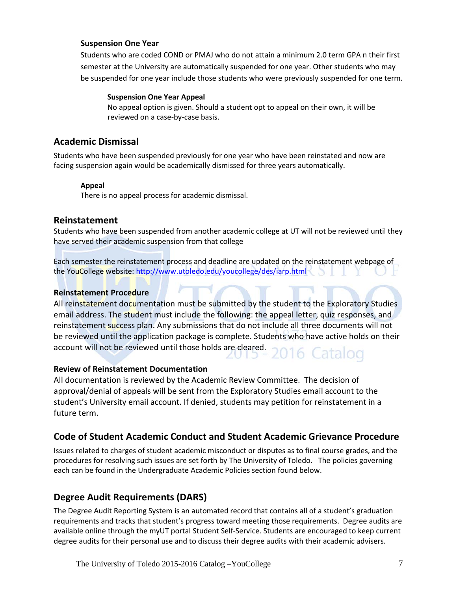### **Suspension One Year**

Students who are coded COND or PMAJ who do not attain a minimum 2.0 term GPA n their first semester at the University are automatically suspended for one year. Other students who may be suspended for one year include those students who were previously suspended for one term.

### **Suspension One Year Appeal**

No appeal option is given. Should a student opt to appeal on their own, it will be reviewed on a case-by-case basis.

## **Academic Dismissal**

Students who have been suspended previously for one year who have been reinstated and now are facing suspension again would be academically dismissed for three years automatically.

### **Appeal**

There is no appeal process for academic dismissal.

### **Reinstatement**

Students who have been suspended from another academic college at UT will not be reviewed until they have served their academic suspension from that college

Each semester the reinstatement process and deadline are updated on the reinstatement webpage of the YouCollege website:<http://www.utoledo.edu/youcollege/des/iarp.html>

### **Reinstatement Procedure**

All reinstatement documentation must be submitted by the student to the Exploratory Studies email address. The student must include the following: the appeal letter, quiz responses, and reinstatement success plan. Any submissions that do not include all three documents will not be reviewed until the application package is complete. Students who have active holds on their account will not be reviewed until those holds are cleared. 16 Catalog

### **Review of Reinstatement Documentation**

All documentation is reviewed by the Academic Review Committee. The decision of approval/denial of appeals will be sent from the Exploratory Studies email account to the student's University email account. If denied, students may petition for reinstatement in a future term.

## **Code of Student Academic Conduct and Student Academic Grievance Procedure**

Issues related to charges of student academic misconduct or disputes as to final course grades, and the procedures for resolving such issues are set forth by The University of Toledo. The policies governing each can be found in the Undergraduate Academic Policies section found below.

## **Degree Audit Requirements (DARS)**

The Degree Audit Reporting System is an automated record that contains all of a student's graduation requirements and tracks that student's progress toward meeting those requirements. Degree audits are available online through the myUT portal Student Self-Service. Students are encouraged to keep current degree audits for their personal use and to discuss their degree audits with their academic advisers.